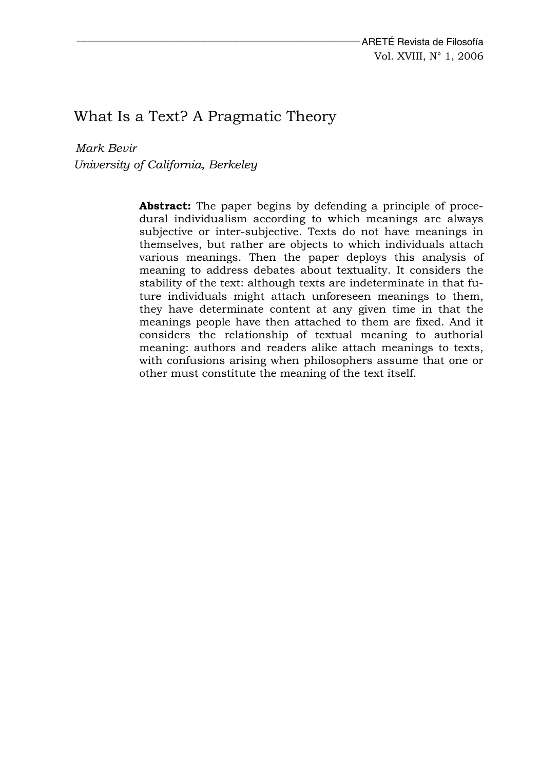# What Is a Text? A Pragmatic Theory

*Mark Bevir University of California, Berkeley* 

> **Abstract:** The paper begins by defending a principle of procedural individualism according to which meanings are always subjective or inter-subjective. Texts do not have meanings in themselves, but rather are objects to which individuals attach various meanings. Then the paper deploys this analysis of meaning to address debates about textuality. It considers the stability of the text: although texts are indeterminate in that future individuals might attach unforeseen meanings to them, they have determinate content at any given time in that the meanings people have then attached to them are fixed. And it considers the relationship of textual meaning to authorial meaning: authors and readers alike attach meanings to texts, with confusions arising when philosophers assume that one or other must constitute the meaning of the text itself.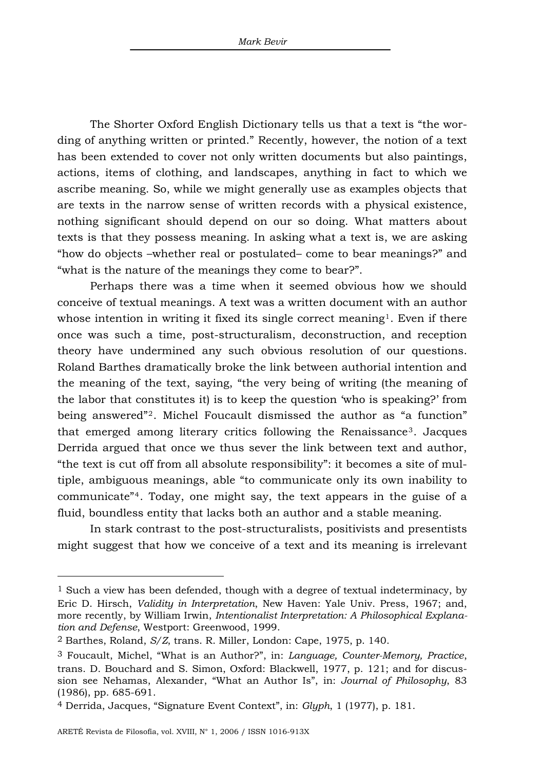The Shorter Oxford English Dictionary tells us that a text is "the wording of anything written or printed." Recently, however, the notion of a text has been extended to cover not only written documents but also paintings, actions, items of clothing, and landscapes, anything in fact to which we ascribe meaning. So, while we might generally use as examples objects that are texts in the narrow sense of written records with a physical existence, nothing significant should depend on our so doing. What matters about texts is that they possess meaning. In asking what a text is, we are asking "how do objects –whether real or postulated– come to bear meanings?" and "what is the nature of the meanings they come to bear?".

Perhaps there was a time when it seemed obvious how we should conceive of textual meanings. A text was a written document with an author whose intention in writing it fixed its single correct meaning<sup>[1](#page-1-0)</sup>. Even if there once was such a time, post-structuralism, deconstruction, and reception theory have undermined any such obvious resolution of our questions. Roland Barthes dramatically broke the link between authorial intention and the meaning of the text, saying, "the very being of writing (the meaning of the labor that constitutes it) is to keep the question 'who is speaking?' from being answered"[2](#page-1-1). Michel Foucault dismissed the author as "a function" that emerged among literary critics following the Renaissance[3](#page-1-2). Jacques Derrida argued that once we thus sever the link between text and author, "the text is cut off from all absolute responsibility": it becomes a site of multiple, ambiguous meanings, able "to communicate only its own inability to communicate"[4](#page-1-3). Today, one might say, the text appears in the guise of a fluid, boundless entity that lacks both an author and a stable meaning.

In stark contrast to the post-structuralists, positivists and presentists might suggest that how we conceive of a text and its meaning is irrelevant

<span id="page-1-0"></span><sup>1</sup> Such a view has been defended, though with a degree of textual indeterminacy, by Eric D. Hirsch, *Validity in Interpretation*, New Haven: Yale Univ. Press, 1967; and, more recently, by William Irwin, *Intentionalist Interpretation: A Philosophical Explanation and Defense*, Westport: Greenwood, 1999.

<span id="page-1-1"></span><sup>2</sup> Barthes, Roland, *S/Z*, trans. R. Miller, London: Cape, 1975, p. 140.

<span id="page-1-2"></span><sup>3</sup> Foucault, Michel, "What is an Author?", in: *Language, Counter-Memory, Practice*, trans. D. Bouchard and S. Simon, Oxford: Blackwell, 1977, p. 121; and for discussion see Nehamas, Alexander, "What an Author Is", in: *Journal of Philosophy*, 83 (1986), pp. 685-691.

<span id="page-1-3"></span><sup>4</sup> Derrida, Jacques, "Signature Event Context", in: *Glyph*, 1 (1977), p. 181.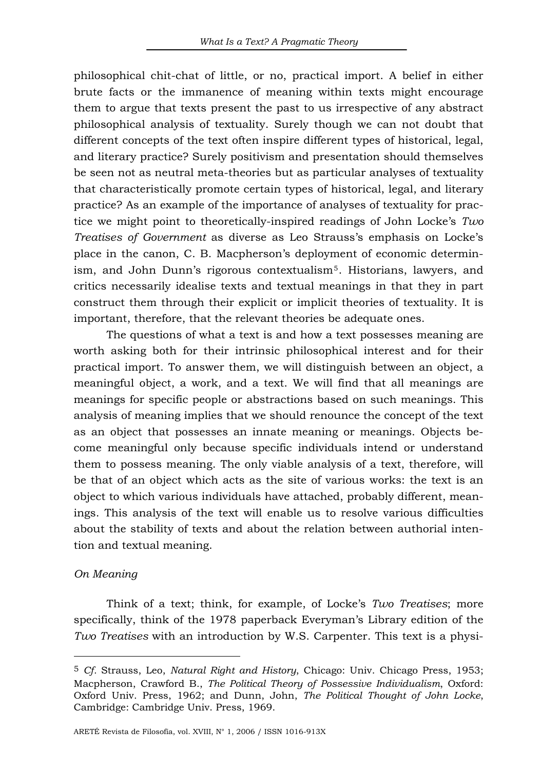philosophical chit-chat of little, or no, practical import. A belief in either brute facts or the immanence of meaning within texts might encourage them to argue that texts present the past to us irrespective of any abstract philosophical analysis of textuality. Surely though we can not doubt that different concepts of the text often inspire different types of historical, legal, and literary practice? Surely positivism and presentation should themselves be seen not as neutral meta-theories but as particular analyses of textuality that characteristically promote certain types of historical, legal, and literary practice? As an example of the importance of analyses of textuality for practice we might point to theoretically-inspired readings of John Locke's *Two Treatises of Government* as diverse as Leo Strauss's emphasis on Locke's place in the canon, C. B. Macpherson's deployment of economic determinism, and John Dunn's rigorous contextualism[5](#page-2-0). Historians, lawyers, and critics necessarily idealise texts and textual meanings in that they in part construct them through their explicit or implicit theories of textuality. It is important, therefore, that the relevant theories be adequate ones.

The questions of what a text is and how a text possesses meaning are worth asking both for their intrinsic philosophical interest and for their practical import. To answer them, we will distinguish between an object, a meaningful object, a work, and a text. We will find that all meanings are meanings for specific people or abstractions based on such meanings. This analysis of meaning implies that we should renounce the concept of the text as an object that possesses an innate meaning or meanings. Objects become meaningful only because specific individuals intend or understand them to possess meaning. The only viable analysis of a text, therefore, will be that of an object which acts as the site of various works: the text is an object to which various individuals have attached, probably different, meanings. This analysis of the text will enable us to resolve various difficulties about the stability of texts and about the relation between authorial intention and textual meaning.

### *On Meaning*

 $\overline{a}$ 

Think of a text; think, for example, of Locke's *Two Treatises*; more specifically, think of the 1978 paperback Everyman's Library edition of the *Two Treatises* with an introduction by W.S. Carpenter. This text is a physi-

<span id="page-2-0"></span><sup>5</sup> *Cf.* Strauss, Leo, *Natural Right and History*, Chicago: Univ. Chicago Press, 1953; Macpherson, Crawford B., *The Political Theory of Possessive Individualism*, Oxford: Oxford Univ. Press, 1962; and Dunn, John, *The Political Thought of John Locke*, Cambridge: Cambridge Univ. Press, 1969.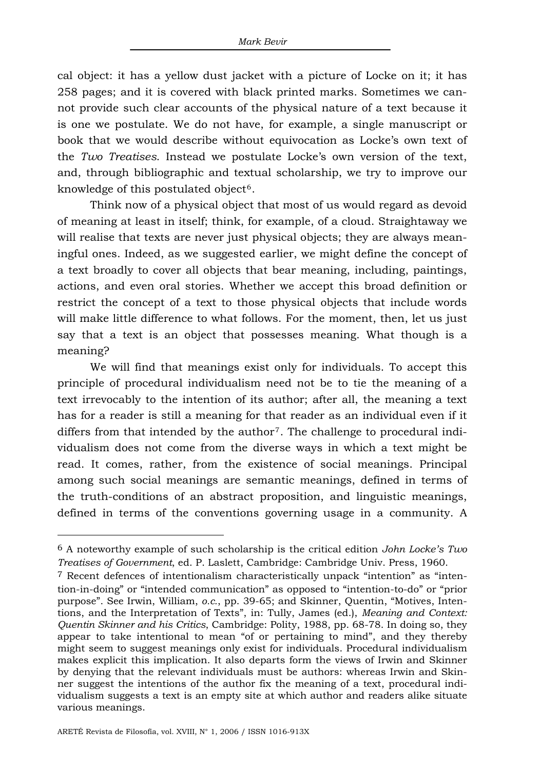cal object: it has a yellow dust jacket with a picture of Locke on it; it has 258 pages; and it is covered with black printed marks. Sometimes we cannot provide such clear accounts of the physical nature of a text because it is one we postulate. We do not have, for example, a single manuscript or book that we would describe without equivocation as Locke's own text of the *Two Treatises*. Instead we postulate Locke's own version of the text, and, through bibliographic and textual scholarship, we try to improve our knowledge of this postulated object<sup>[6](#page-3-0)</sup>.

Think now of a physical object that most of us would regard as devoid of meaning at least in itself; think, for example, of a cloud. Straightaway we will realise that texts are never just physical objects; they are always meaningful ones. Indeed, as we suggested earlier, we might define the concept of a text broadly to cover all objects that bear meaning, including, paintings, actions, and even oral stories. Whether we accept this broad definition or restrict the concept of a text to those physical objects that include words will make little difference to what follows. For the moment, then, let us just say that a text is an object that possesses meaning. What though is a meaning?

We will find that meanings exist only for individuals. To accept this principle of procedural individualism need not be to tie the meaning of a text irrevocably to the intention of its author; after all, the meaning a text has for a reader is still a meaning for that reader as an individual even if it differs from that intended by the author<sup>[7](#page-3-1)</sup>. The challenge to procedural individualism does not come from the diverse ways in which a text might be read. It comes, rather, from the existence of social meanings. Principal among such social meanings are semantic meanings, defined in terms of the truth-conditions of an abstract proposition, and linguistic meanings, defined in terms of the conventions governing usage in a community. A

<span id="page-3-0"></span><sup>6</sup> A noteworthy example of such scholarship is the critical edition *John Locke's Two Treatises of Government*, ed. P. Laslett, Cambridge: Cambridge Univ. Press, 1960.

<span id="page-3-1"></span><sup>7</sup> Recent defences of intentionalism characteristically unpack "intention" as "intention-in-doing" or "intended communication" as opposed to "intention-to-do" or "prior purpose". See Irwin, William, *o.c.*, pp. 39-65; and Skinner, Quentin, "Motives, Intentions, and the Interpretation of Texts", in: Tully, James (ed.), *Meaning and Context: Quentin Skinner and his Critics*, Cambridge: Polity, 1988, pp. 68-78. In doing so, they appear to take intentional to mean "of or pertaining to mind", and they thereby might seem to suggest meanings only exist for individuals. Procedural individualism makes explicit this implication. It also departs form the views of Irwin and Skinner by denying that the relevant individuals must be authors: whereas Irwin and Skinner suggest the intentions of the author fix the meaning of a text, procedural individualism suggests a text is an empty site at which author and readers alike situate various meanings.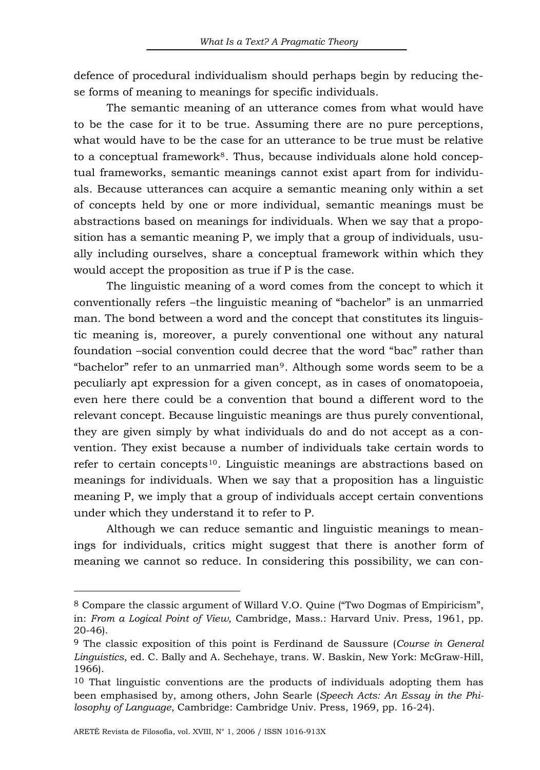defence of procedural individualism should perhaps begin by reducing these forms of meaning to meanings for specific individuals.

The semantic meaning of an utterance comes from what would have to be the case for it to be true. Assuming there are no pure perceptions, what would have to be the case for an utterance to be true must be relative to a conceptual framework<sup>[8](#page-4-0)</sup>. Thus, because individuals alone hold conceptual frameworks, semantic meanings cannot exist apart from for individuals. Because utterances can acquire a semantic meaning only within a set of concepts held by one or more individual, semantic meanings must be abstractions based on meanings for individuals. When we say that a proposition has a semantic meaning P, we imply that a group of individuals, usually including ourselves, share a conceptual framework within which they would accept the proposition as true if P is the case.

The linguistic meaning of a word comes from the concept to which it conventionally refers –the linguistic meaning of "bachelor" is an unmarried man. The bond between a word and the concept that constitutes its linguistic meaning is, moreover, a purely conventional one without any natural foundation –social convention could decree that the word "bac" rather than "bachelor" refer to an unmarried man[9](#page-4-1). Although some words seem to be a peculiarly apt expression for a given concept, as in cases of onomatopoeia, even here there could be a convention that bound a different word to the relevant concept. Because linguistic meanings are thus purely conventional, they are given simply by what individuals do and do not accept as a convention. They exist because a number of individuals take certain words to refer to certain concepts<sup>[10](#page-4-2)</sup>. Linguistic meanings are abstractions based on meanings for individuals. When we say that a proposition has a linguistic meaning P, we imply that a group of individuals accept certain conventions under which they understand it to refer to P.

Although we can reduce semantic and linguistic meanings to meanings for individuals, critics might suggest that there is another form of meaning we cannot so reduce. In considering this possibility, we can con-

<span id="page-4-0"></span><sup>8</sup> Compare the classic argument of Willard V.O. Quine ("Two Dogmas of Empiricism", in: *From a Logical Point of View*, Cambridge, Mass.: Harvard Univ. Press, 1961, pp. 20-46).

<span id="page-4-1"></span><sup>9</sup> The classic exposition of this point is Ferdinand de Saussure (*Course in General Linguistics*, ed. C. Bally and A. Sechehaye, trans. W. Baskin, New York: McGraw-Hill, 1966).

<span id="page-4-2"></span><sup>&</sup>lt;sup>10</sup> That linguistic conventions are the products of individuals adopting them has been emphasised by, among others, John Searle (*Speech Acts: An Essay in the Philosophy of Language*, Cambridge: Cambridge Univ. Press, 1969, pp. 16-24).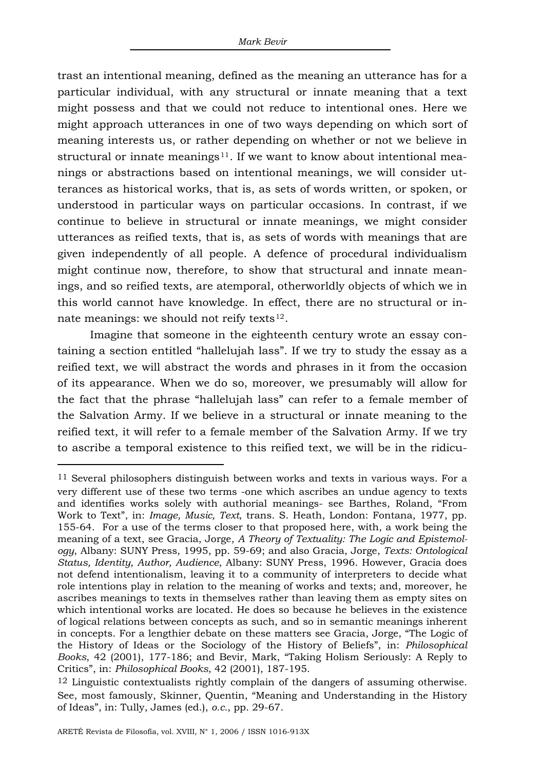trast an intentional meaning, defined as the meaning an utterance has for a particular individual, with any structural or innate meaning that a text might possess and that we could not reduce to intentional ones. Here we might approach utterances in one of two ways depending on which sort of meaning interests us, or rather depending on whether or not we believe in structural or innate meanings $11$ . If we want to know about intentional meanings or abstractions based on intentional meanings, we will consider utterances as historical works, that is, as sets of words written, or spoken, or understood in particular ways on particular occasions. In contrast, if we continue to believe in structural or innate meanings, we might consider utterances as reified texts, that is, as sets of words with meanings that are given independently of all people. A defence of procedural individualism might continue now, therefore, to show that structural and innate meanings, and so reified texts, are atemporal, otherworldly objects of which we in this world cannot have knowledge. In effect, there are no structural or innate meanings: we should not reify texts $12$ .

Imagine that someone in the eighteenth century wrote an essay containing a section entitled "hallelujah lass". If we try to study the essay as a reified text, we will abstract the words and phrases in it from the occasion of its appearance. When we do so, moreover, we presumably will allow for the fact that the phrase "hallelujah lass" can refer to a female member of the Salvation Army. If we believe in a structural or innate meaning to the reified text, it will refer to a female member of the Salvation Army. If we try to ascribe a temporal existence to this reified text, we will be in the ridicu-

<span id="page-5-0"></span><sup>11</sup> Several philosophers distinguish between works and texts in various ways. For a very different use of these two terms -one which ascribes an undue agency to texts and identifies works solely with authorial meanings- see Barthes, Roland, "From Work to Text", in: *Image, Music, Text*, trans. S. Heath, London: Fontana, 1977, pp. 155-64. For a use of the terms closer to that proposed here, with, a work being the meaning of a text, see Gracia, Jorge, *A Theory of Textuality: The Logic and Epistemology*, Albany: SUNY Press, 1995, pp. 59-69; and also Gracia, Jorge, *Texts: Ontological Status, Identity, Author, Audience*, Albany: SUNY Press, 1996. However, Gracia does not defend intentionalism, leaving it to a community of interpreters to decide what role intentions play in relation to the meaning of works and texts; and, moreover, he ascribes meanings to texts in themselves rather than leaving them as empty sites on which intentional works are located. He does so because he believes in the existence of logical relations between concepts as such, and so in semantic meanings inherent in concepts. For a lengthier debate on these matters see Gracia, Jorge, "The Logic of the History of Ideas or the Sociology of the History of Beliefs", in: *Philosophical Books*, 42 (2001), 177-186; and Bevir, Mark, "Taking Holism Seriously: A Reply to Critics", in: *Philosophical Books*, 42 (2001), 187-195.

<span id="page-5-1"></span><sup>12</sup> Linguistic contextualists rightly complain of the dangers of assuming otherwise. See, most famously, Skinner, Quentin, "Meaning and Understanding in the History of Ideas", in: Tully, James (ed.), *o.c.*, pp. 29-67.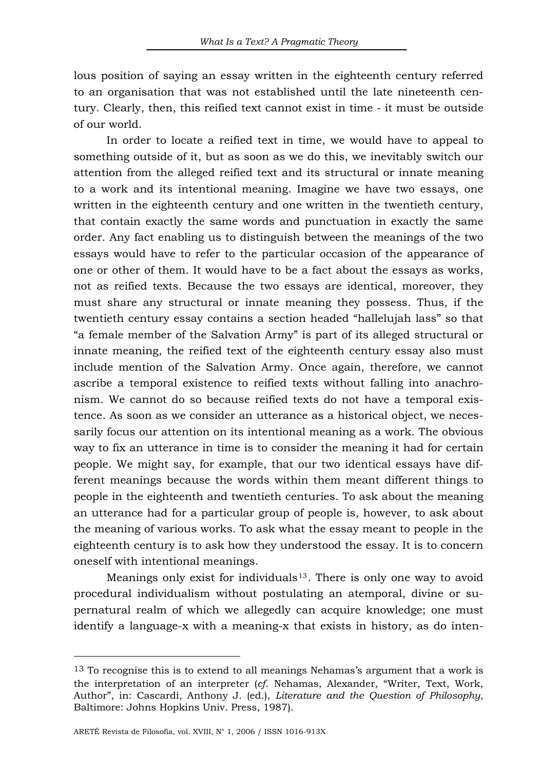lous position of saying an essay written in the eighteenth century referred to an organisation that was not established until the late nineteenth century. Clearly, then, this reified text cannot exist in time - it must be outside of our world.

In order to locate a reified text in time, we would have to appeal to something outside of it, but as soon as we do this, we inevitably switch our attention from the alleged reified text and its structural or innate meaning to a work and its intentional meaning. Imagine we have two essays, one written in the eighteenth century and one written in the twentieth century, that contain exactly the same words and punctuation in exactly the same order. Any fact enabling us to distinguish between the meanings of the two essays would have to refer to the particular occasion of the appearance of one or other of them. It would have to be a fact about the essays as works, not as reified texts. Because the two essays are identical, moreover, they must share any structural or innate meaning they possess. Thus, if the twentieth century essay contains a section headed "hallelujah lass" so that "a female member of the Salvation Army" is part of its alleged structural or innate meaning, the reified text of the eighteenth century essay also must include mention of the Salvation Army. Once again, therefore, we cannot ascribe a temporal existence to reified texts without falling into anachronism. We cannot do so because reified texts do not have a temporal existence. As soon as we consider an utterance as a historical object, we necessarily focus our attention on its intentional meaning as a work. The obvious way to fix an utterance in time is to consider the meaning it had for certain people. We might say, for example, that our two identical essays have different meanings because the words within them meant different things to people in the eighteenth and twentieth centuries. To ask about the meaning an utterance had for a particular group of people is, however, to ask about the meaning of various works. To ask what the essay meant to people in the eighteenth century is to ask how they understood the essay. It is to concern oneself with intentional meanings.

Meanings only exist for individuals  $13$ . There is only one way to avoid procedural individualism without postulating an atemporal, divine or supernatural realm of which we allegedly can acquire knowledge; one must identify a language-x with a meaning-x that exists in history, as do inten-

<span id="page-6-0"></span><sup>13</sup> To recognise this is to extend to all meanings Nehamas's argument that a work is the interpretation of an interpreter (*cf*. Nehamas, Alexander, "Writer, Text, Work, Author", in: Cascardi, Anthony J. (ed.), *Literature and the Question of Philosophy*, Baltimore: Johns Hopkins Univ. Press, 1987).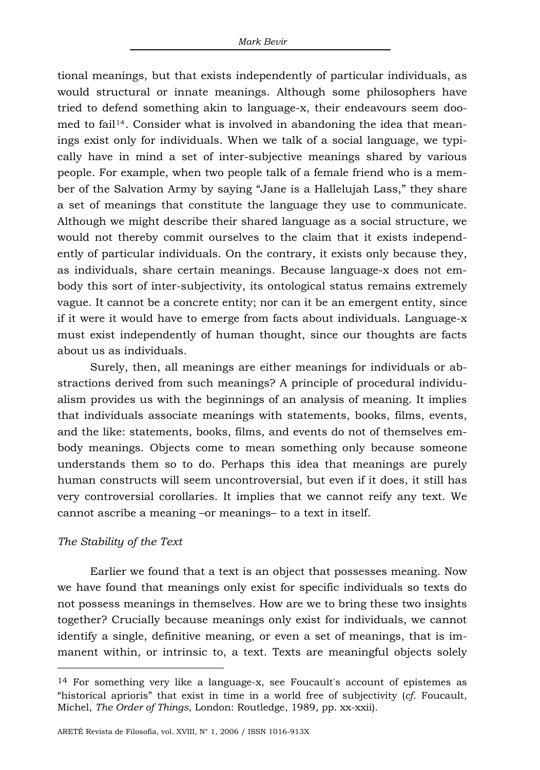tional meanings, but that exists independently of particular individuals, as would structural or innate meanings. Although some philosophers have tried to defend something akin to language-x, their endeavours seem doo-med to fail<sup>[14](#page-7-0)</sup>. Consider what is involved in abandoning the idea that meanings exist only for individuals. When we talk of a social language, we typically have in mind a set of inter-subjective meanings shared by various people. For example, when two people talk of a female friend who is a member of the Salvation Army by saying "Jane is a Hallelujah Lass," they share a set of meanings that constitute the language they use to communicate. Although we might describe their shared language as a social structure, we would not thereby commit ourselves to the claim that it exists independently of particular individuals. On the contrary, it exists only because they, as individuals, share certain meanings. Because language-x does not embody this sort of inter-subjectivity, its ontological status remains extremely vague. It cannot be a concrete entity; nor can it be an emergent entity, since if it were it would have to emerge from facts about individuals. Language-x must exist independently of human thought, since our thoughts are facts about us as individuals.

Surely, then, all meanings are either meanings for individuals or abstractions derived from such meanings? A principle of procedural individualism provides us with the beginnings of an analysis of meaning. It implies that individuals associate meanings with statements, books, films, events, and the like: statements, books, films, and events do not of themselves embody meanings. Objects come to mean something only because someone understands them so to do. Perhaps this idea that meanings are purely human constructs will seem uncontroversial, but even if it does, it still has very controversial corollaries. It implies that we cannot reify any text. We cannot ascribe a meaning –or meanings– to a text in itself.

### *The Stability of the Text*

 $\overline{a}$ 

Earlier we found that a text is an object that possesses meaning. Now we have found that meanings only exist for specific individuals so texts do not possess meanings in themselves. How are we to bring these two insights together? Crucially because meanings only exist for individuals, we cannot identify a single, definitive meaning, or even a set of meanings, that is immanent within, or intrinsic to, a text. Texts are meaningful objects solely

<span id="page-7-0"></span><sup>14</sup> For something very like a language-x, see Foucault's account of epistemes as "historical aprioris" that exist in time in a world free of subjectivity (*cf*. Foucault, Michel, *The Order of Things*, London: Routledge, 1989, pp. xx-xxii).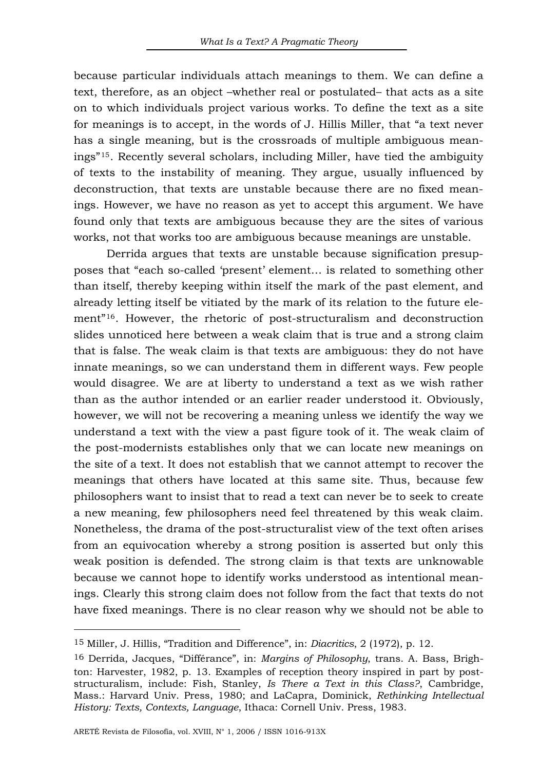because particular individuals attach meanings to them. We can define a text, therefore, as an object –whether real or postulated– that acts as a site on to which individuals project various works. To define the text as a site for meanings is to accept, in the words of J. Hillis Miller, that "a text never has a single meaning, but is the crossroads of multiple ambiguous meanings"[15](#page-8-0). Recently several scholars, including Miller, have tied the ambiguity of texts to the instability of meaning. They argue, usually influenced by deconstruction, that texts are unstable because there are no fixed meanings. However, we have no reason as yet to accept this argument. We have found only that texts are ambiguous because they are the sites of various works, not that works too are ambiguous because meanings are unstable.

Derrida argues that texts are unstable because signification presupposes that "each so-called 'present' element… is related to something other than itself, thereby keeping within itself the mark of the past element, and already letting itself be vitiated by the mark of its relation to the future element"[16](#page-8-1). However, the rhetoric of post-structuralism and deconstruction slides unnoticed here between a weak claim that is true and a strong claim that is false. The weak claim is that texts are ambiguous: they do not have innate meanings, so we can understand them in different ways. Few people would disagree. We are at liberty to understand a text as we wish rather than as the author intended or an earlier reader understood it. Obviously, however, we will not be recovering a meaning unless we identify the way we understand a text with the view a past figure took of it. The weak claim of the post-modernists establishes only that we can locate new meanings on the site of a text. It does not establish that we cannot attempt to recover the meanings that others have located at this same site. Thus, because few philosophers want to insist that to read a text can never be to seek to create a new meaning, few philosophers need feel threatened by this weak claim. Nonetheless, the drama of the post-structuralist view of the text often arises from an equivocation whereby a strong position is asserted but only this weak position is defended. The strong claim is that texts are unknowable because we cannot hope to identify works understood as intentional meanings. Clearly this strong claim does not follow from the fact that texts do not have fixed meanings. There is no clear reason why we should not be able to

<span id="page-8-0"></span><sup>15</sup> Miller, J. Hillis, "Tradition and Difference", in: *Diacritics*, 2 (1972), p. 12.

<span id="page-8-1"></span><sup>16</sup> Derrida, Jacques, "Différance", in: *Margins of Philosophy*, trans. A. Bass, Brighton: Harvester, 1982, p. 13. Examples of reception theory inspired in part by poststructuralism, include: Fish, Stanley, *Is There a Text in this Class?*, Cambridge, Mass.: Harvard Univ. Press, 1980; and LaCapra, Dominick, *Rethinking Intellectual History: Texts, Contexts, Language*, Ithaca: Cornell Univ. Press, 1983.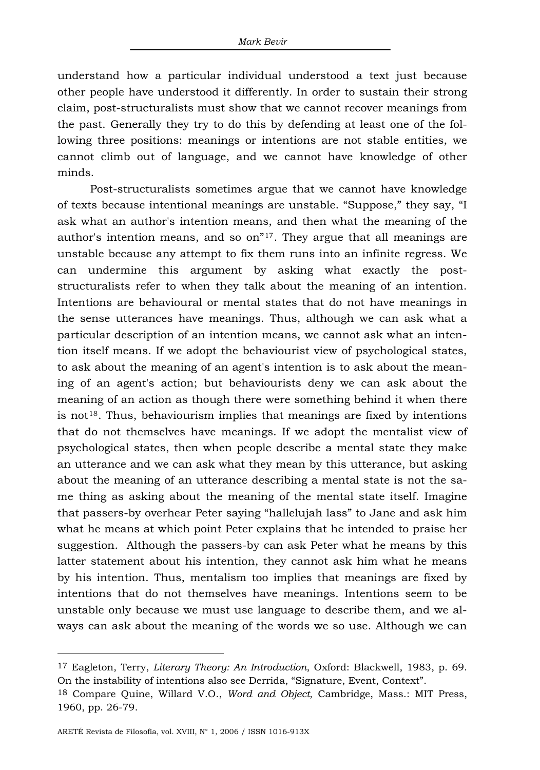understand how a particular individual understood a text just because other people have understood it differently. In order to sustain their strong claim, post-structuralists must show that we cannot recover meanings from the past. Generally they try to do this by defending at least one of the following three positions: meanings or intentions are not stable entities, we cannot climb out of language, and we cannot have knowledge of other minds.

Post-structuralists sometimes argue that we cannot have knowledge of texts because intentional meanings are unstable. "Suppose," they say, "I ask what an author's intention means, and then what the meaning of the author's intention means, and so  $\alpha^{n}$ <sup>[17](#page-9-0)</sup>. They argue that all meanings are unstable because any attempt to fix them runs into an infinite regress. We can undermine this argument by asking what exactly the poststructuralists refer to when they talk about the meaning of an intention. Intentions are behavioural or mental states that do not have meanings in the sense utterances have meanings. Thus, although we can ask what a particular description of an intention means, we cannot ask what an intention itself means. If we adopt the behaviourist view of psychological states, to ask about the meaning of an agent's intention is to ask about the meaning of an agent's action; but behaviourists deny we can ask about the meaning of an action as though there were something behind it when there is not<sup>[18](#page-9-1)</sup>. Thus, behaviourism implies that meanings are fixed by intentions that do not themselves have meanings. If we adopt the mentalist view of psychological states, then when people describe a mental state they make an utterance and we can ask what they mean by this utterance, but asking about the meaning of an utterance describing a mental state is not the same thing as asking about the meaning of the mental state itself. Imagine that passers-by overhear Peter saying "hallelujah lass" to Jane and ask him what he means at which point Peter explains that he intended to praise her suggestion. Although the passers-by can ask Peter what he means by this latter statement about his intention, they cannot ask him what he means by his intention. Thus, mentalism too implies that meanings are fixed by intentions that do not themselves have meanings. Intentions seem to be unstable only because we must use language to describe them, and we always can ask about the meaning of the words we so use. Although we can

<span id="page-9-0"></span><sup>17</sup> Eagleton, Terry, *Literary Theory: An Introduction*, Oxford: Blackwell, 1983, p. 69. On the instability of intentions also see Derrida, "Signature, Event, Context".

<span id="page-9-1"></span><sup>18</sup> Compare Quine, Willard V.O., *Word and Object*, Cambridge, Mass.: MIT Press, 1960, pp. 26-79.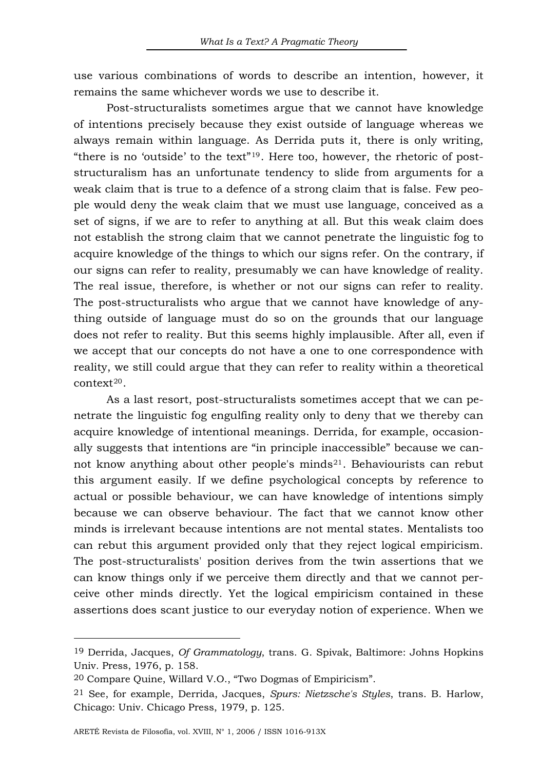use various combinations of words to describe an intention, however, it remains the same whichever words we use to describe it.

Post-structuralists sometimes argue that we cannot have knowledge of intentions precisely because they exist outside of language whereas we always remain within language. As Derrida puts it, there is only writing, "there is no 'outside' to the text"<sup>[19](#page-10-0)</sup>. Here too, however, the rhetoric of poststructuralism has an unfortunate tendency to slide from arguments for a weak claim that is true to a defence of a strong claim that is false. Few people would deny the weak claim that we must use language, conceived as a set of signs, if we are to refer to anything at all. But this weak claim does not establish the strong claim that we cannot penetrate the linguistic fog to acquire knowledge of the things to which our signs refer. On the contrary, if our signs can refer to reality, presumably we can have knowledge of reality. The real issue, therefore, is whether or not our signs can refer to reality. The post-structuralists who argue that we cannot have knowledge of anything outside of language must do so on the grounds that our language does not refer to reality. But this seems highly implausible. After all, even if we accept that our concepts do not have a one to one correspondence with reality, we still could argue that they can refer to reality within a theoretical context[20](#page-10-1).

As a last resort, post-structuralists sometimes accept that we can penetrate the linguistic fog engulfing reality only to deny that we thereby can acquire knowledge of intentional meanings. Derrida, for example, occasionally suggests that intentions are "in principle inaccessible" because we cannot know anything about other people's minds $^{21}$ . Behaviourists can rebut this argument easily. If we define psychological concepts by reference to actual or possible behaviour, we can have knowledge of intentions simply because we can observe behaviour. The fact that we cannot know other minds is irrelevant because intentions are not mental states. Mentalists too can rebut this argument provided only that they reject logical empiricism. The post-structuralists' position derives from the twin assertions that we can know things only if we perceive them directly and that we cannot perceive other minds directly. Yet the logical empiricism contained in these assertions does scant justice to our everyday notion of experience. When we

<span id="page-10-0"></span><sup>19</sup> Derrida, Jacques, *Of Grammatology*, trans. G. Spivak, Baltimore: Johns Hopkins Univ. Press, 1976, p. 158.

<span id="page-10-1"></span><sup>20</sup> Compare Quine, Willard V.O., "Two Dogmas of Empiricism".

<span id="page-10-2"></span><sup>21</sup> See, for example, Derrida, Jacques, *Spurs: Nietzsche's Styles*, trans. B. Harlow, Chicago: Univ. Chicago Press, 1979, p. 125.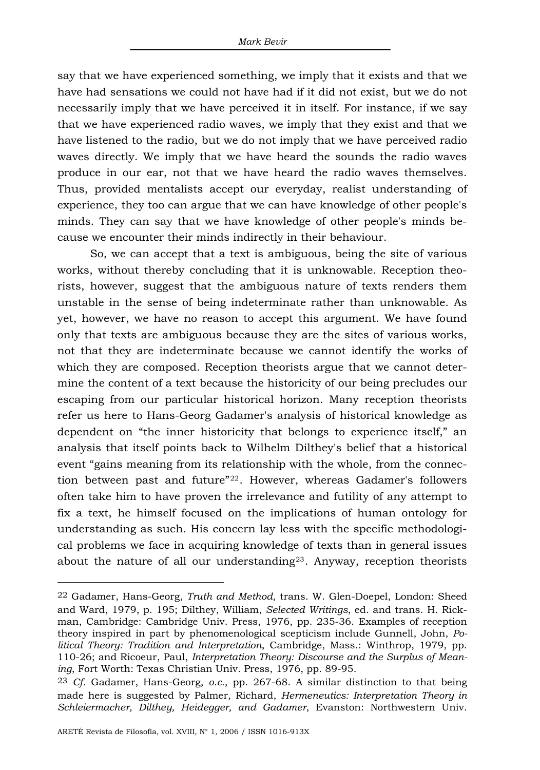say that we have experienced something, we imply that it exists and that we have had sensations we could not have had if it did not exist, but we do not necessarily imply that we have perceived it in itself. For instance, if we say that we have experienced radio waves, we imply that they exist and that we have listened to the radio, but we do not imply that we have perceived radio waves directly. We imply that we have heard the sounds the radio waves produce in our ear, not that we have heard the radio waves themselves. Thus, provided mentalists accept our everyday, realist understanding of experience, they too can argue that we can have knowledge of other people's minds. They can say that we have knowledge of other people's minds because we encounter their minds indirectly in their behaviour.

So, we can accept that a text is ambiguous, being the site of various works, without thereby concluding that it is unknowable. Reception theorists, however, suggest that the ambiguous nature of texts renders them unstable in the sense of being indeterminate rather than unknowable. As yet, however, we have no reason to accept this argument. We have found only that texts are ambiguous because they are the sites of various works, not that they are indeterminate because we cannot identify the works of which they are composed. Reception theorists argue that we cannot determine the content of a text because the historicity of our being precludes our escaping from our particular historical horizon. Many reception theorists refer us here to Hans-Georg Gadamer's analysis of historical knowledge as dependent on "the inner historicity that belongs to experience itself," an analysis that itself points back to Wilhelm Dilthey's belief that a historical event "gains meaning from its relationship with the whole, from the connection between past and future"[22](#page-11-0). However, whereas Gadamer's followers often take him to have proven the irrelevance and futility of any attempt to fix a text, he himself focused on the implications of human ontology for understanding as such. His concern lay less with the specific methodological problems we face in acquiring knowledge of texts than in general issues about the nature of all our understanding<sup>[23](#page-11-1)</sup>. Anyway, reception theorists

<span id="page-11-0"></span><sup>22</sup> Gadamer, Hans-Georg, *Truth and Method*, trans. W. Glen-Doepel, London: Sheed and Ward, 1979, p. 195; Dilthey, William, *Selected Writings*, ed. and trans. H. Rickman, Cambridge: Cambridge Univ. Press, 1976, pp. 235-36. Examples of reception theory inspired in part by phenomenological scepticism include Gunnell, John, *Political Theory: Tradition and Interpretation*, Cambridge, Mass.: Winthrop, 1979, pp. 110-26; and Ricoeur, Paul, *Interpretation Theory: Discourse and the Surplus of Meaning*, Fort Worth: Texas Christian Univ. Press, 1976, pp. 89-95.

<span id="page-11-1"></span><sup>23</sup> *Cf.* Gadamer, Hans-Georg, *o.c.*, pp. 267-68. A similar distinction to that being made here is suggested by Palmer, Richard, *Hermeneutics: Interpretation Theory in Schleiermacher, Dilthey, Heidegger, and Gadamer*, Evanston: Northwestern Univ.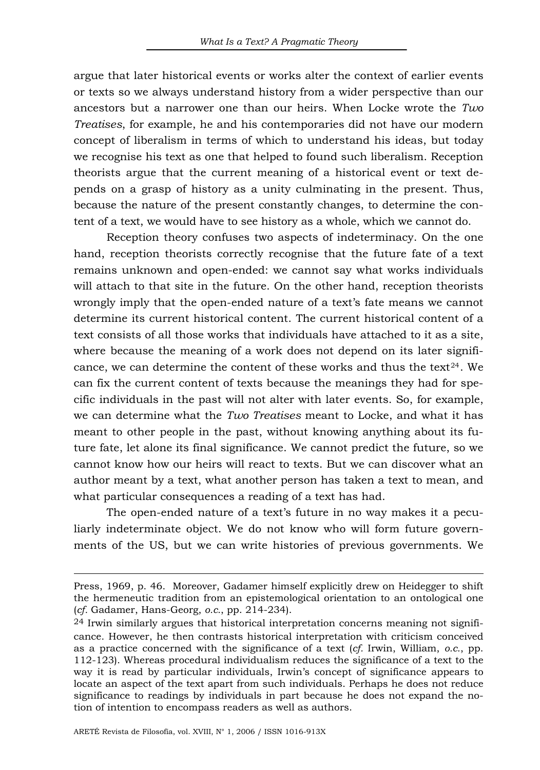argue that later historical events or works alter the context of earlier events or texts so we always understand history from a wider perspective than our ancestors but a narrower one than our heirs. When Locke wrote the *Two Treatises*, for example, he and his contemporaries did not have our modern concept of liberalism in terms of which to understand his ideas, but today we recognise his text as one that helped to found such liberalism. Reception theorists argue that the current meaning of a historical event or text depends on a grasp of history as a unity culminating in the present. Thus, because the nature of the present constantly changes, to determine the content of a text, we would have to see history as a whole, which we cannot do.

Reception theory confuses two aspects of indeterminacy. On the one hand, reception theorists correctly recognise that the future fate of a text remains unknown and open-ended: we cannot say what works individuals will attach to that site in the future. On the other hand, reception theorists wrongly imply that the open-ended nature of a text's fate means we cannot determine its current historical content. The current historical content of a text consists of all those works that individuals have attached to it as a site, where because the meaning of a work does not depend on its later signifi-cance, we can determine the content of these works and thus the text<sup>[24](#page-12-0)</sup>. We can fix the current content of texts because the meanings they had for specific individuals in the past will not alter with later events. So, for example, we can determine what the *Two Treatises* meant to Locke, and what it has meant to other people in the past, without knowing anything about its future fate, let alone its final significance. We cannot predict the future, so we cannot know how our heirs will react to texts. But we can discover what an author meant by a text, what another person has taken a text to mean, and what particular consequences a reading of a text has had.

The open-ended nature of a text's future in no way makes it a peculiarly indeterminate object. We do not know who will form future governments of the US, but we can write histories of previous governments. We

Press, 1969, p. 46. Moreover, Gadamer himself explicitly drew on Heidegger to shift the hermeneutic tradition from an epistemological orientation to an ontological one (*cf.* Gadamer, Hans-Georg, *o.c.*, pp. 214-234).

<span id="page-12-0"></span> $24$  Irwin similarly argues that historical interpretation concerns meaning not significance. However, he then contrasts historical interpretation with criticism conceived as a practice concerned with the significance of a text (*cf.* Irwin, William, *o.c.*, pp. 112-123). Whereas procedural individualism reduces the significance of a text to the way it is read by particular individuals, Irwin's concept of significance appears to locate an aspect of the text apart from such individuals. Perhaps he does not reduce significance to readings by individuals in part because he does not expand the notion of intention to encompass readers as well as authors.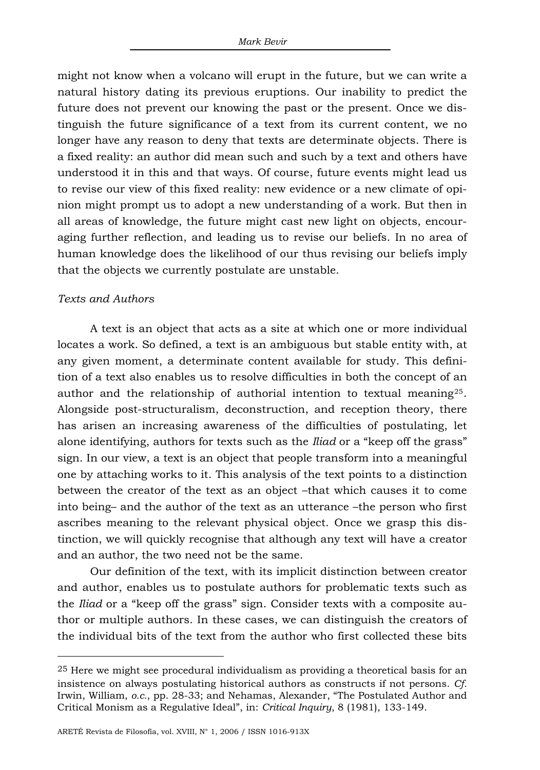might not know when a volcano will erupt in the future, but we can write a natural history dating its previous eruptions. Our inability to predict the future does not prevent our knowing the past or the present. Once we distinguish the future significance of a text from its current content, we no longer have any reason to deny that texts are determinate objects. There is a fixed reality: an author did mean such and such by a text and others have understood it in this and that ways. Of course, future events might lead us to revise our view of this fixed reality: new evidence or a new climate of opinion might prompt us to adopt a new understanding of a work. But then in all areas of knowledge, the future might cast new light on objects, encouraging further reflection, and leading us to revise our beliefs. In no area of human knowledge does the likelihood of our thus revising our beliefs imply that the objects we currently postulate are unstable.

## *Texts and Authors*

 $\overline{a}$ 

A text is an object that acts as a site at which one or more individual locates a work. So defined, a text is an ambiguous but stable entity with, at any given moment, a determinate content available for study. This definition of a text also enables us to resolve difficulties in both the concept of an author and the relationship of authorial intention to textual meaning<sup>[25](#page-13-0)</sup>. Alongside post-structuralism, deconstruction, and reception theory, there has arisen an increasing awareness of the difficulties of postulating, let alone identifying, authors for texts such as the *Iliad* or a "keep off the grass" sign. In our view, a text is an object that people transform into a meaningful one by attaching works to it. This analysis of the text points to a distinction between the creator of the text as an object –that which causes it to come into being– and the author of the text as an utterance –the person who first ascribes meaning to the relevant physical object. Once we grasp this distinction, we will quickly recognise that although any text will have a creator and an author, the two need not be the same.

Our definition of the text, with its implicit distinction between creator and author, enables us to postulate authors for problematic texts such as the *Iliad* or a "keep off the grass" sign. Consider texts with a composite author or multiple authors. In these cases, we can distinguish the creators of the individual bits of the text from the author who first collected these bits

<span id="page-13-0"></span><sup>25</sup> Here we might see procedural individualism as providing a theoretical basis for an insistence on always postulating historical authors as constructs if not persons. *Cf.* Irwin, William, *o.c.*, pp. 28-33; and Nehamas, Alexander, "The Postulated Author and Critical Monism as a Regulative Ideal", in: *Critical Inquiry*, 8 (1981), 133-149.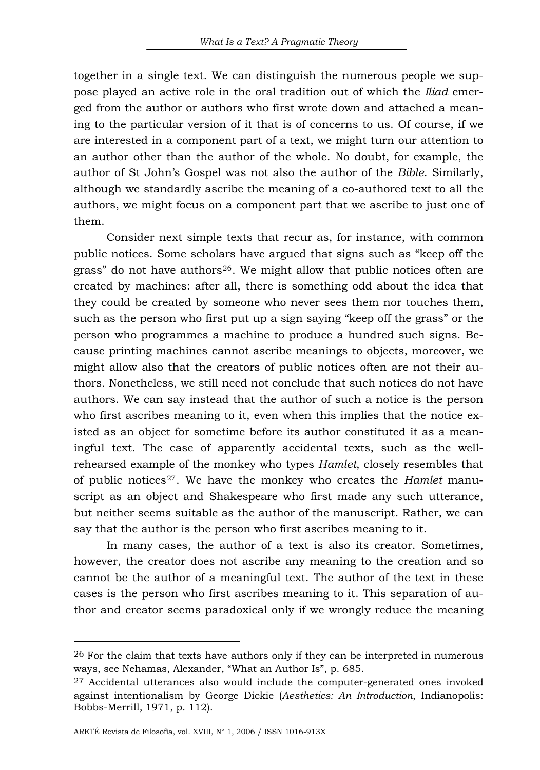together in a single text. We can distinguish the numerous people we suppose played an active role in the oral tradition out of which the *Iliad* emerged from the author or authors who first wrote down and attached a meaning to the particular version of it that is of concerns to us. Of course, if we are interested in a component part of a text, we might turn our attention to an author other than the author of the whole. No doubt, for example, the author of St John's Gospel was not also the author of the *Bible*. Similarly, although we standardly ascribe the meaning of a co-authored text to all the authors, we might focus on a component part that we ascribe to just one of them.

Consider next simple texts that recur as, for instance, with common public notices. Some scholars have argued that signs such as "keep off the grass" do not have authors<sup>[26](#page-14-0)</sup>. We might allow that public notices often are created by machines: after all, there is something odd about the idea that they could be created by someone who never sees them nor touches them, such as the person who first put up a sign saying "keep off the grass" or the person who programmes a machine to produce a hundred such signs. Because printing machines cannot ascribe meanings to objects, moreover, we might allow also that the creators of public notices often are not their authors. Nonetheless, we still need not conclude that such notices do not have authors. We can say instead that the author of such a notice is the person who first ascribes meaning to it, even when this implies that the notice existed as an object for sometime before its author constituted it as a meaningful text. The case of apparently accidental texts, such as the wellrehearsed example of the monkey who types *Hamlet*, closely resembles that of public notices[27](#page-14-1). We have the monkey who creates the *Hamlet* manuscript as an object and Shakespeare who first made any such utterance, but neither seems suitable as the author of the manuscript. Rather, we can say that the author is the person who first ascribes meaning to it.

In many cases, the author of a text is also its creator. Sometimes, however, the creator does not ascribe any meaning to the creation and so cannot be the author of a meaningful text. The author of the text in these cases is the person who first ascribes meaning to it. This separation of author and creator seems paradoxical only if we wrongly reduce the meaning

<span id="page-14-0"></span><sup>26</sup> For the claim that texts have authors only if they can be interpreted in numerous ways, see Nehamas, Alexander, "What an Author Is", p. 685.

<span id="page-14-1"></span> $27$  Accidental utterances also would include the computer-generated ones invoked against intentionalism by George Dickie (*Aesthetics: An Introduction*, Indianopolis: Bobbs-Merrill, 1971, p. 112).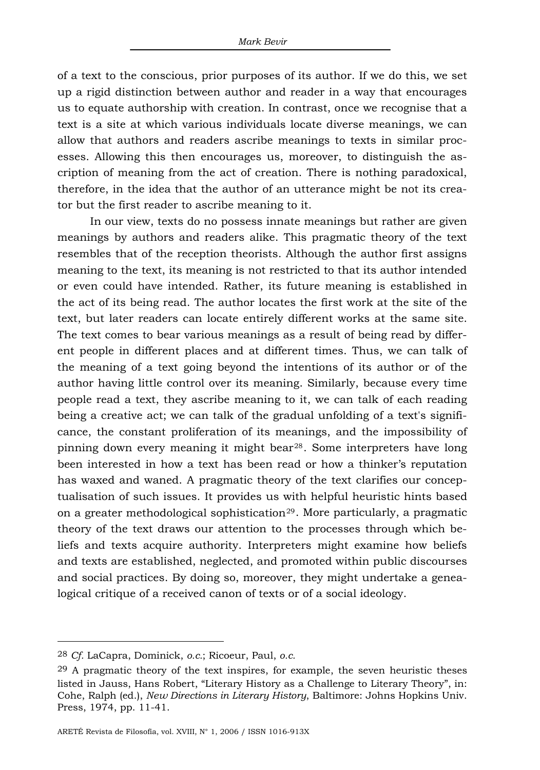of a text to the conscious, prior purposes of its author. If we do this, we set up a rigid distinction between author and reader in a way that encourages us to equate authorship with creation. In contrast, once we recognise that a text is a site at which various individuals locate diverse meanings, we can allow that authors and readers ascribe meanings to texts in similar processes. Allowing this then encourages us, moreover, to distinguish the ascription of meaning from the act of creation. There is nothing paradoxical, therefore, in the idea that the author of an utterance might be not its creator but the first reader to ascribe meaning to it.

In our view, texts do no possess innate meanings but rather are given meanings by authors and readers alike. This pragmatic theory of the text resembles that of the reception theorists. Although the author first assigns meaning to the text, its meaning is not restricted to that its author intended or even could have intended. Rather, its future meaning is established in the act of its being read. The author locates the first work at the site of the text, but later readers can locate entirely different works at the same site. The text comes to bear various meanings as a result of being read by different people in different places and at different times. Thus, we can talk of the meaning of a text going beyond the intentions of its author or of the author having little control over its meaning. Similarly, because every time people read a text, they ascribe meaning to it, we can talk of each reading being a creative act; we can talk of the gradual unfolding of a text's significance, the constant proliferation of its meanings, and the impossibility of pinning down every meaning it might bear[28](#page-15-0). Some interpreters have long been interested in how a text has been read or how a thinker's reputation has waxed and waned. A pragmatic theory of the text clarifies our conceptualisation of such issues. It provides us with helpful heuristic hints based on a greater methodological sophistication<sup>[29](#page-15-1)</sup>. More particularly, a pragmatic theory of the text draws our attention to the processes through which beliefs and texts acquire authority. Interpreters might examine how beliefs and texts are established, neglected, and promoted within public discourses and social practices. By doing so, moreover, they might undertake a genealogical critique of a received canon of texts or of a social ideology.

<span id="page-15-0"></span><sup>28</sup> *Cf.* LaCapra, Dominick, *o.c.*; Ricoeur, Paul, *o.c.*

<span id="page-15-1"></span><sup>29</sup> A pragmatic theory of the text inspires, for example, the seven heuristic theses listed in Jauss, Hans Robert, "Literary History as a Challenge to Literary Theory", in: Cohe, Ralph (ed.), *New Directions in Literary History*, Baltimore: Johns Hopkins Univ. Press, 1974, pp. 11-41.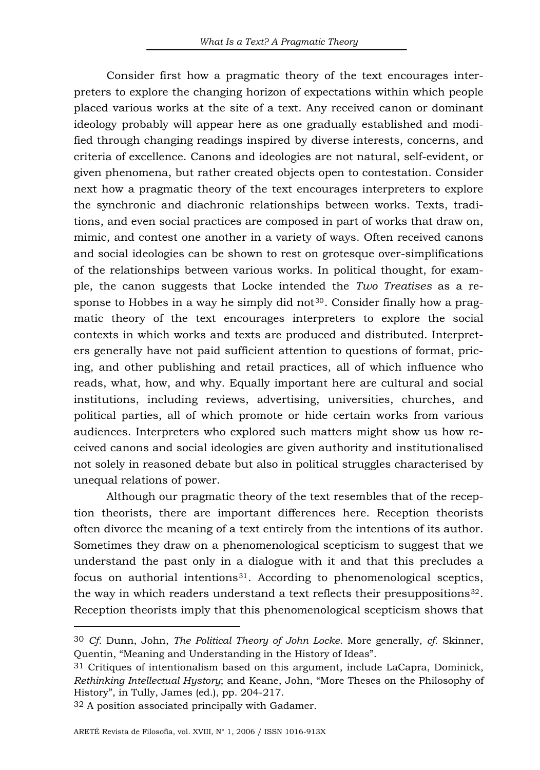Consider first how a pragmatic theory of the text encourages interpreters to explore the changing horizon of expectations within which people placed various works at the site of a text. Any received canon or dominant ideology probably will appear here as one gradually established and modified through changing readings inspired by diverse interests, concerns, and criteria of excellence. Canons and ideologies are not natural, self-evident, or given phenomena, but rather created objects open to contestation. Consider next how a pragmatic theory of the text encourages interpreters to explore the synchronic and diachronic relationships between works. Texts, traditions, and even social practices are composed in part of works that draw on, mimic, and contest one another in a variety of ways. Often received canons and social ideologies can be shown to rest on grotesque over-simplifications of the relationships between various works. In political thought, for example, the canon suggests that Locke intended the *Two Treatises* as a re-sponse to Hobbes in a way he simply did not<sup>[30](#page-16-0)</sup>. Consider finally how a pragmatic theory of the text encourages interpreters to explore the social contexts in which works and texts are produced and distributed. Interpreters generally have not paid sufficient attention to questions of format, pricing, and other publishing and retail practices, all of which influence who reads, what, how, and why. Equally important here are cultural and social institutions, including reviews, advertising, universities, churches, and political parties, all of which promote or hide certain works from various audiences. Interpreters who explored such matters might show us how received canons and social ideologies are given authority and institutionalised not solely in reasoned debate but also in political struggles characterised by unequal relations of power.

Although our pragmatic theory of the text resembles that of the reception theorists, there are important differences here. Reception theorists often divorce the meaning of a text entirely from the intentions of its author. Sometimes they draw on a phenomenological scepticism to suggest that we understand the past only in a dialogue with it and that this precludes a focus on authorial intentions $31$ . According to phenomenological sceptics, the way in which readers understand a text reflects their presuppositions $32$ . Reception theorists imply that this phenomenological scepticism shows that

<span id="page-16-0"></span><sup>30</sup> *Cf.* Dunn, John, *The Political Theory of John Locke*. More generally, *cf.* Skinner, Quentin, "Meaning and Understanding in the History of Ideas".

<span id="page-16-1"></span><sup>31</sup> Critiques of intentionalism based on this argument, include LaCapra, Dominick, *Rethinking Intellectual Hystory*; and Keane, John, "More Theses on the Philosophy of History", in Tully, James (ed.), pp. 204-217.

<span id="page-16-2"></span><sup>32</sup> A position associated principally with Gadamer.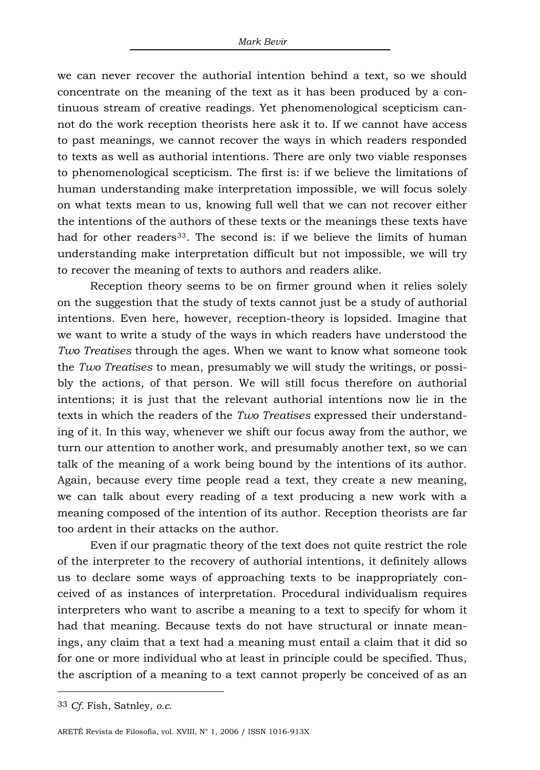we can never recover the authorial intention behind a text, so we should concentrate on the meaning of the text as it has been produced by a continuous stream of creative readings. Yet phenomenological scepticism cannot do the work reception theorists here ask it to. If we cannot have access to past meanings, we cannot recover the ways in which readers responded to texts as well as authorial intentions. There are only two viable responses to phenomenological scepticism. The first is: if we believe the limitations of human understanding make interpretation impossible, we will focus solely on what texts mean to us, knowing full well that we can not recover either the intentions of the authors of these texts or the meanings these texts have had for other readers<sup>[33](#page-17-0)</sup>. The second is: if we believe the limits of human understanding make interpretation difficult but not impossible, we will try to recover the meaning of texts to authors and readers alike.

Reception theory seems to be on firmer ground when it relies solely on the suggestion that the study of texts cannot just be a study of authorial intentions. Even here, however, reception-theory is lopsided. Imagine that we want to write a study of the ways in which readers have understood the *Two Treatises* through the ages. When we want to know what someone took the *Two Treatises* to mean, presumably we will study the writings, or possibly the actions, of that person. We will still focus therefore on authorial intentions; it is just that the relevant authorial intentions now lie in the texts in which the readers of the *Two Treatises* expressed their understanding of it. In this way, whenever we shift our focus away from the author, we turn our attention to another work, and presumably another text, so we can talk of the meaning of a work being bound by the intentions of its author. Again, because every time people read a text, they create a new meaning, we can talk about every reading of a text producing a new work with a meaning composed of the intention of its author. Reception theorists are far too ardent in their attacks on the author.

Even if our pragmatic theory of the text does not quite restrict the role of the interpreter to the recovery of authorial intentions, it definitely allows us to declare some ways of approaching texts to be inappropriately conceived of as instances of interpretation. Procedural individualism requires interpreters who want to ascribe a meaning to a text to specify for whom it had that meaning. Because texts do not have structural or innate meanings, any claim that a text had a meaning must entail a claim that it did so for one or more individual who at least in principle could be specified. Thus, the ascription of a meaning to a text cannot properly be conceived of as an

<span id="page-17-0"></span><sup>33</sup> *Cf.* Fish, Satnley, *o.c.*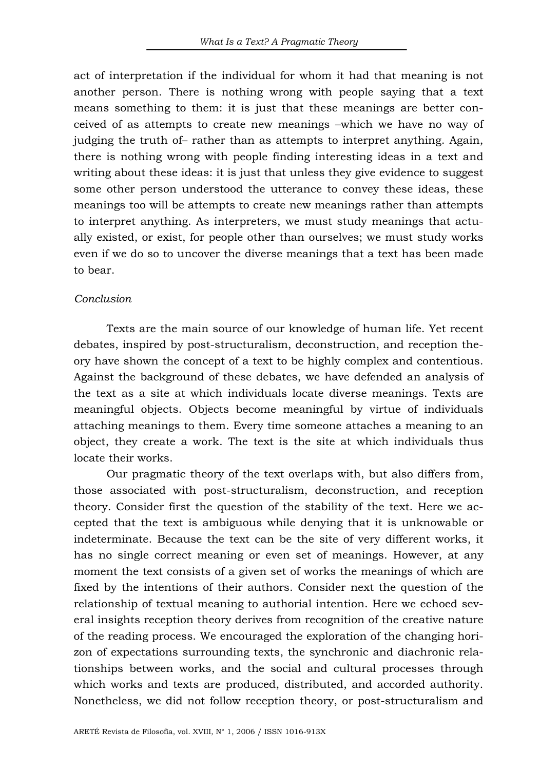act of interpretation if the individual for whom it had that meaning is not another person. There is nothing wrong with people saying that a text means something to them: it is just that these meanings are better conceived of as attempts to create new meanings –which we have no way of judging the truth of– rather than as attempts to interpret anything. Again, there is nothing wrong with people finding interesting ideas in a text and writing about these ideas: it is just that unless they give evidence to suggest some other person understood the utterance to convey these ideas, these meanings too will be attempts to create new meanings rather than attempts to interpret anything. As interpreters, we must study meanings that actually existed, or exist, for people other than ourselves; we must study works even if we do so to uncover the diverse meanings that a text has been made to bear.

### *Conclusion*

Texts are the main source of our knowledge of human life. Yet recent debates, inspired by post-structuralism, deconstruction, and reception theory have shown the concept of a text to be highly complex and contentious. Against the background of these debates, we have defended an analysis of the text as a site at which individuals locate diverse meanings. Texts are meaningful objects. Objects become meaningful by virtue of individuals attaching meanings to them. Every time someone attaches a meaning to an object, they create a work. The text is the site at which individuals thus locate their works.

Our pragmatic theory of the text overlaps with, but also differs from, those associated with post-structuralism, deconstruction, and reception theory. Consider first the question of the stability of the text. Here we accepted that the text is ambiguous while denying that it is unknowable or indeterminate. Because the text can be the site of very different works, it has no single correct meaning or even set of meanings. However, at any moment the text consists of a given set of works the meanings of which are fixed by the intentions of their authors. Consider next the question of the relationship of textual meaning to authorial intention. Here we echoed several insights reception theory derives from recognition of the creative nature of the reading process. We encouraged the exploration of the changing horizon of expectations surrounding texts, the synchronic and diachronic relationships between works, and the social and cultural processes through which works and texts are produced, distributed, and accorded authority. Nonetheless, we did not follow reception theory, or post-structuralism and